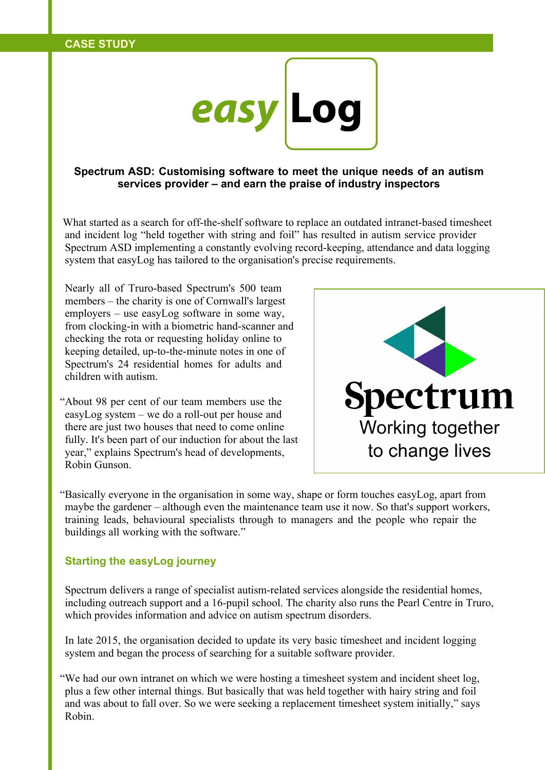

**Spectrum ASD: Customising software to meet the unique needs of an autism services provider – and earn the praise of industry inspectors**

What started as a search for off-the-shelf software to replace an outdated intranet-based timesheet and incident log "held together with string and foil" has resulted in autism service provider Spectrum ASD implementing a constantly evolving record-keeping, attendance and data logging system that easyLog has tailored to the organisation's precise requirements.

Nearly all of Truro-based Spectrum's 500 team members – the charity is one of Cornwall's largest employers – use easyLog software in some way, from clocking-in with a biometric hand-scanner and checking the rota or requesting holiday online to keeping detailed, up-to-the-minute notes in one of Spectrum's 24 residential homes for adults and children with autism.

"About 98 per cent of our team members use the easyLog system – we do a roll-out per house and there are just two houses that need to come online fully. It's been part of our induction for about the last year," explains Spectrum's head of developments, Robin Gunson.



"Basically everyone in the organisation in some way, shape or form touches easyLog, apart from maybe the gardener – although even the maintenance team use it now. So that's support workers, training leads, behavioural specialists through to managers and the people who repair the buildings all working with the software."

## **Starting the easyLog journey**

Spectrum delivers a range of specialist autism-related services alongside the residential homes, including outreach support and a 16-pupil school. The charity also runs the Pearl Centre in Truro, which provides information and advice on autism spectrum disorders.

In late 2015, the organisation decided to update its very basic timesheet and incident logging system and began the process of searching for a suitable software provider.

"We had our own intranet on which we were hosting a timesheet system and incident sheet log, plus a few other internal things. But basically that was held together with hairy string and foil and was about to fall over. So we were seeking a replacement timesheet system initially," says Robin.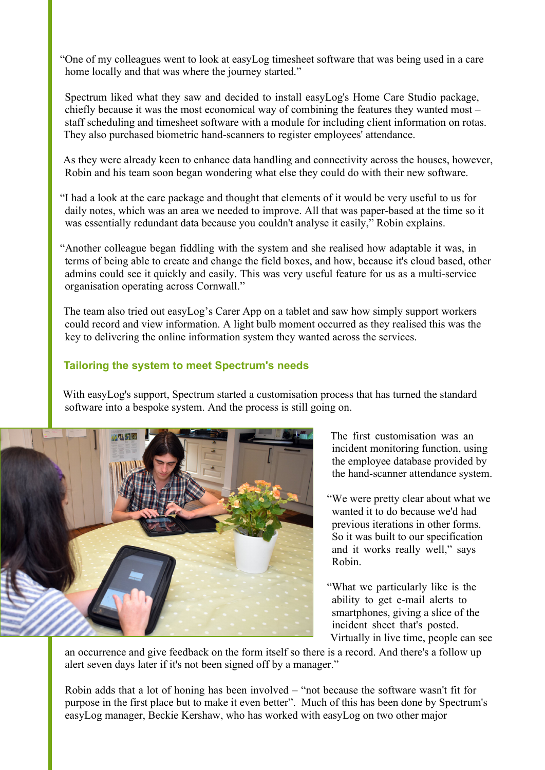"One of my colleagues went to look at easyLog timesheet software that was being used in a care home locally and that was where the journey started."

Spectrum liked what they saw and decided to install easyLog's Home Care Studio package, chiefly because it was the most economical way of combining the features they wanted most – staff scheduling and timesheet software with a module for including client information on rotas. They also purchased biometric hand-scanners to register employees' attendance.

As they were already keen to enhance data handling and connectivity across the houses, however, Robin and his team soon began wondering what else they could do with their new software.

"I had a look at the care package and thought that elements of it would be very useful to us for daily notes, which was an area we needed to improve. All that was paper-based at the time so it was essentially redundant data because you couldn't analyse it easily," Robin explains.

"Another colleague began fiddling with the system and she realised how adaptable it was, in terms of being able to create and change the field boxes, and how, because it's cloud based, other admins could see it quickly and easily. This was very useful feature for us as a multi-service organisation operating across Cornwall."

The team also tried out easyLog's Carer App on a tablet and saw how simply support workers could record and view information. A light bulb moment occurred as they realised this was the key to delivering the online information system they wanted across the services.

## **Tailoring the system to meet Spectrum's needs**

With easyLog's support, Spectrum started a customisation process that has turned the standard software into a bespoke system. And the process is still going on.



The first customisation was an incident monitoring function, using the employee database provided by the hand-scanner attendance system.

- "We were pretty clear about what we wanted it to do because we'd had previous iterations in other forms. So it was built to our specification and it works really well," says Robin.
- "What we particularly like is the ability to get e-mail alerts to smartphones, giving a slice of the incident sheet that's posted. Virtually in live time, people can see

an occurrence and give feedback on the form itself so there is a record. And there's a follow up alert seven days later if it's not been signed off by a manager."

Robin adds that a lot of honing has been involved – "not because the software wasn't fit for purpose in the first place but to make it even better". Much of this has been done by Spectrum's easyLog manager, Beckie Kershaw, who has worked with easyLog on two other major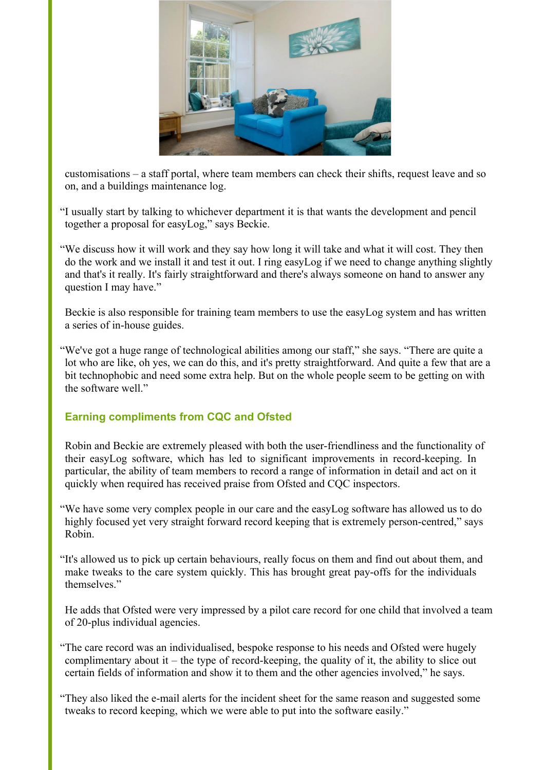

customisations – a staff portal, where team members can check their shifts, request leave and so on, and a buildings maintenance log.

- "I usually start by talking to whichever department it is that wants the development and pencil together a proposal for easyLog," says Beckie.
- "We discuss how it will work and they say how long it will take and what it will cost. They then do the work and we install it and test it out. I ring easyLog if we need to change anything slightly and that's it really. It's fairly straightforward and there's always someone on hand to answer any question I may have."

Beckie is also responsible for training team members to use the easyLog system and has written a series of in-house guides.

"We've got a huge range of technological abilities among our staff," she says. "There are quite a lot who are like, oh yes, we can do this, and it's pretty straightforward. And quite a few that are a bit technophobic and need some extra help. But on the whole people seem to be getting on with the software well."

## **Earning compliments from CQC and Ofsted**

Robin and Beckie are extremely pleased with both the user-friendliness and the functionality of their easyLog software, which has led to significant improvements in record-keeping. In particular, the ability of team members to record a range of information in detail and act on it quickly when required has received praise from Ofsted and CQC inspectors.

- "We have some very complex people in our care and the easyLog software has allowed us to do highly focused yet very straight forward record keeping that is extremely person-centred," says Robin.
- "It's allowed us to pick up certain behaviours, really focus on them and find out about them, and make tweaks to the care system quickly. This has brought great pay-offs for the individuals themselves."

He adds that Ofsted were very impressed by a pilot care record for one child that involved a team of 20-plus individual agencies.

- "The care record was an individualised, bespoke response to his needs and Ofsted were hugely complimentary about it – the type of record-keeping, the quality of it, the ability to slice out certain fields of information and show it to them and the other agencies involved," he says.
- "They also liked the e-mail alerts for the incident sheet for the same reason and suggested some tweaks to record keeping, which we were able to put into the software easily."